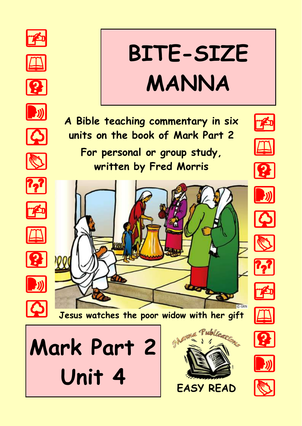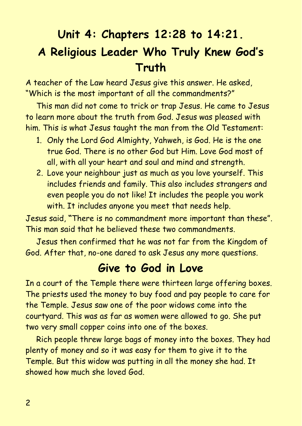# **Unit 4: Chapters 12:28 to 14:21. A Religious Leader Who Truly Knew God's Truth**

A teacher of the Law heard Jesus give this answer. He asked, "Which is the most important of all the commandments?"

This man did not come to trick or trap Jesus. He came to Jesus to learn more about the truth from God. Jesus was pleased with him. This is what Jesus taught the man from the Old Testament:

- 1. Only the Lord God Almighty, Yahweh, is God. He is the one true God. There is no other God but Him. Love God most of all, with all your heart and soul and mind and strength.
- 2. Love your neighbour just as much as you love yourself. This includes friends and family. This also includes strangers and even people you do not like! It includes the people you work with. It includes anyone you meet that needs help.

Jesus said, **"**There is no commandment more important than these". This man said that he believed these two commandments.

Jesus then confirmed that he was not far from the Kingdom of God. After that, no-one dared to ask Jesus any more questions.

#### **Give to God in Love**

In a court of the Temple there were thirteen large offering boxes. The priests used the money to buy food and pay people to care for the Temple. Jesus saw one of the poor widows come into the courtyard. This was as far as women were allowed to go. She put two very small copper coins into one of the boxes.

Rich people threw large bags of money into the boxes. They had plenty of money and so it was easy for them to give it to the Temple. But this widow was putting in all the money she had. It showed how much she loved God.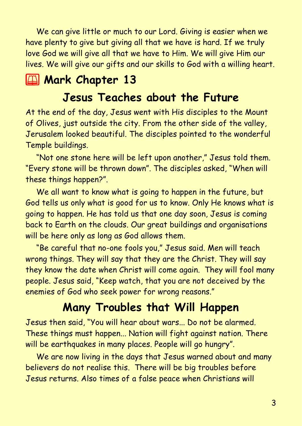We can give little or much to our Lord. Giving is easier when we have plenty to give but giving all that we have is hard. If we truly love God we will give all that we have to Him. We will give Him our lives. We will give our gifts and our skills to God with a willing heart.

### **2 Mark Chapter 13**

### **Jesus Teaches about the Future**

At the end of the day, Jesus went with His disciples to the Mount of Olives, just outside the city. From the other side of the valley, Jerusalem looked beautiful. The disciples pointed to the wonderful Temple buildings.

"Not one stone here will be left upon another," Jesus told them. "Every stone will be thrown down". The disciples asked, "When will these things happen?".

We all want to know what is going to happen in the future, but God tells us only what is good for us to know. Only He knows what is going to happen. He has told us that one day soon, Jesus is coming back to Earth on the clouds. Our great buildings and organisations will be here only as long as God allows them.

"Be careful that no-one fools you," Jesus said. Men will teach wrong things. They will say that they are the Christ. They will say they know the date when Christ will come again. They will fool many people. Jesus said, "Keep watch, that you are not deceived by the enemies of God who seek power for wrong reasons."

### **Many Troubles that Will Happen**

Jesus then said, "You will hear about wars... Do not be alarmed. These things must happen... Nation will fight against nation. There will be earthquakes in many places. People will go hungry".

We are now living in the days that Jesus warned about and many believers do not realise this. There will be big troubles before Jesus returns. Also times of a false peace when Christians will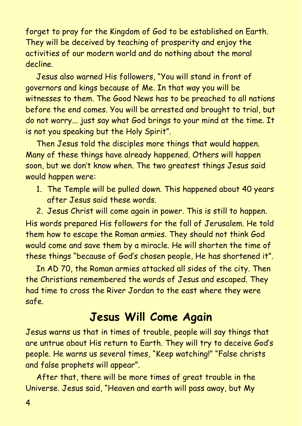forget to pray for the Kingdom of God to be established on Earth. They will be deceived by teaching of prosperity and enjoy the activities of our modern world and do nothing about the moral decline.

Jesus also warned His followers, "You will stand in front of governors and kings because of Me. In that way you will be witnesses to them. The Good News has to be preached to all nations before the end comes. You will be arrested and brought to trial, but do not worry... just say what God brings to your mind at the time. It is not you speaking but the Holy Spirit".

Then Jesus told the disciples more things that would happen. Many of these things have already happened. Others will happen soon, but we don't know when. The two greatest things Jesus said would happen were:

1. The Temple will be pulled down. This happened about 40 years after Jesus said these words.

2. Jesus Christ will come again in power. This is still to happen. His words prepared His followers for the fall of Jerusalem. He told them how to escape the Roman armies. They should not think God would come and save them by a miracle. He will shorten the time of these things "because of God's chosen people, He has shortened it".

In AD 70, the Roman armies attacked all sides of the city. Then the Christians remembered the words of Jesus and escaped. They had time to cross the River Jordan to the east where they were safe.

#### **Jesus Will Come Again**

Jesus warns us that in times of trouble, people will say things that are untrue about His return to Earth. They will try to deceive God's people. He warns us several times, "Keep watching!" "False christs and false prophets will appear".

After that, there will be more times of great trouble in the Universe. Jesus said, "Heaven and earth will pass away, but My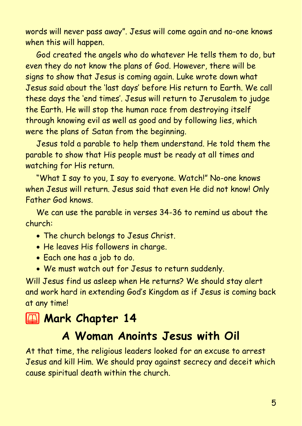words will never pass away". Jesus will come again and no-one knows when this will happen.

God created the angels who do whatever He tells them to do, but even they do not know the plans of God. However, there will be signs to show that Jesus is coming again. Luke wrote down what Jesus said about the 'last days' before His return to Earth. We call these days the 'end times'. Jesus will return to Jerusalem to judge the Earth. He will stop the human race from destroying itself through knowing evil as well as good and by following lies, which were the plans of Satan from the beginning.

Jesus told a parable to help them understand. He told them the parable to show that His people must be ready at all times and watching for His return.

"What I say to you, I say to everyone. Watch!" No-one knows when Jesus will return. Jesus said that even He did not know! Only Father God knows.

We can use the parable in verses 34-36 to remind us about the church:

- The church belongs to Jesus Christ.
- He leaves His followers in charge.
- Each one has a job to do.
- We must watch out for Jesus to return suddenly.

Will Jesus find us asleep when He returns? We should stay alert and work hard in extending God's Kingdom as if Jesus is coming back at any time!

# **2 Mark Chapter 14**

## **A Woman Anoints Jesus with Oil**

At that time, the religious leaders looked for an excuse to arrest Jesus and kill Him. We should pray against secrecy and deceit which cause spiritual death within the church.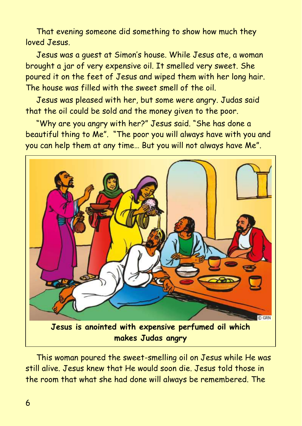That evening someone did something to show how much they loved Jesus.

Jesus was a guest at Simon's house. While Jesus ate, a woman brought a jar of very expensive oil. It smelled very sweet. She poured it on the feet of Jesus and wiped them with her long hair. The house was filled with the sweet smell of the oil.

Jesus was pleased with her, but some were angry. Judas said that the oil could be sold and the money given to the poor.

"Why are you angry with her?" Jesus said. "She has done a beautiful thing to Me". "The poor you will always have with you and you can help them at any time… But you will not always have Me".



This woman poured the sweet-smelling oil on Jesus while He was still alive. Jesus knew that He would soon die. Jesus told those in the room that what she had done will always be remembered. The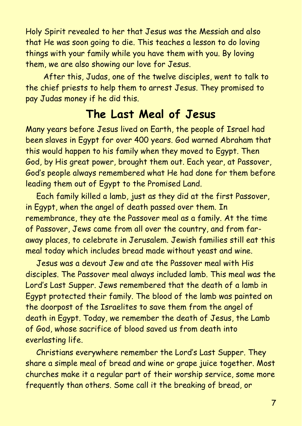Holy Spirit revealed to her that Jesus was the Messiah and also that He was soon going to die. This teaches a lesson to do loving things with your family while you have them with you. By loving them, we are also showing our love for Jesus.

 After this, Judas, one of the twelve disciples, went to talk to the chief priests to help them to arrest Jesus. They promised to pay Judas money if he did this.

### **The Last Meal of Jesus**

Many years before Jesus lived on Earth, the people of Israel had been slaves in Egypt for over 400 years. God warned Abraham that this would happen to his family when they moved to Egypt. Then God, by His great power, brought them out. Each year, at Passover, God's people always remembered what He had done for them before leading them out of Egypt to the Promised Land.

Each family killed a lamb, just as they did at the first Passover, in Egypt, when the angel of death passed over them. In remembrance, they ate the Passover meal as a family. At the time of Passover, Jews came from all over the country, and from faraway places, to celebrate in Jerusalem. Jewish families still eat this meal today which includes bread made without yeast and wine.

Jesus was a devout Jew and ate the Passover meal with His disciples. The Passover meal always included lamb. This meal was the Lord's Last Supper. Jews remembered that the death of a lamb in Egypt protected their family. The blood of the lamb was painted on the doorpost of the Israelites to save them from the angel of death in Egypt. Today, we remember the death of Jesus, the Lamb of God, whose sacrifice of blood saved us from death into everlasting life.

Christians everywhere remember the Lord's Last Supper. They share a simple meal of bread and wine or grape juice together. Most churches make it a regular part of their worship service, some more frequently than others. Some call it the breaking of bread, or